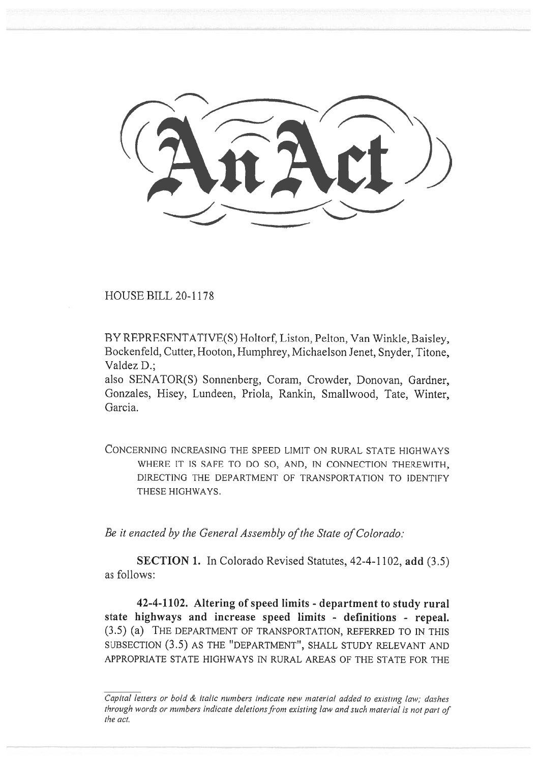HOUSE BILL 20-1178

BY REPRESENTATIVE(S) Holtorf, Liston, Pelton, Van Winkle, Baisley, Bockenfeld, Cutter, Hooton, Humphrey, Michaelson Jenet, Snyder, Titone, Valdez D.; HOUSE BILL 20-1178<br>BY REPRESENTATIVE(S) Holtorf, Liston, Pelton, Van Winkle, Baisley,<br>Bockenfeld, Cutter, Hooton, Humphrey, Michaelson Jenet, Snyder, Titone,<br>Valdez D.;<br>also SENATOR(S) Sonnenberg, Coram, Crowder, Donovan,

also SENATOR(S) Sonnenberg, Coram, Crowder, Donovan, Gardner, Gonzales, Hisey, Lundeen, Priola, Rankin, Smallwood, Tate, Winter, Garcia.

CONCERNING INCREASING THE SPEED LIMIT ON RURAL STATE HIGHWAYS WHERE IT IS SAFE TO DO SO, AND, IN CONNECTION THEREWITH, DIRECTING THE DEPARTMENT OF TRANSPORTATION TO IDENTIFY THESE HIGHWAYS. THESE HIGHWAYS. RNING INCREASING THE SPEED LIMIT ON RURAL STATE HIGHWAYS<br>WHERE IT IS SAFE TO DO SO, AND, IN CONNECTION THEREWITH,<br>DIRECTING THE DEPARTMENT OF TRANSPORTATION TO IDENTIFY

*Be it enacted by the General Assembly of the State of Colorado:* 

SECTION 1. In Colorado Revised Statutes, 42-4-1102, add (3.5) as follows: SECTION 1. In Colorado Revised Statutes, 42-4-1102, add (3.5)<br>ws:<br>42-4-1102. Altering of speed limits - department to study rural

state highways and increase speed limits - definitions - repeal.<br>(3.5) (a) THE DEPARTMENT OF TRANSPORTATION, REFERRED TO IN THIS (3.5) (a) THE DEPARTMENT OF TRANSPORTATION, REFERRED TO IN THIS SUBSECTION (3.5) AS THE "DEPARTMENT", SHALL STUDY RELEVANT AND APPROPRIATE STATE HIGHWAYS IN RURAL AREAS OF THE STATE FOR THE APPROPRIATE STATE RURAL AREAS STATE FOR

Capital letters or bold  $\&$  italic numbers indicate new material added to existing law; dashes through words or numbers indicate deletions from existing law and such material is not part of the act.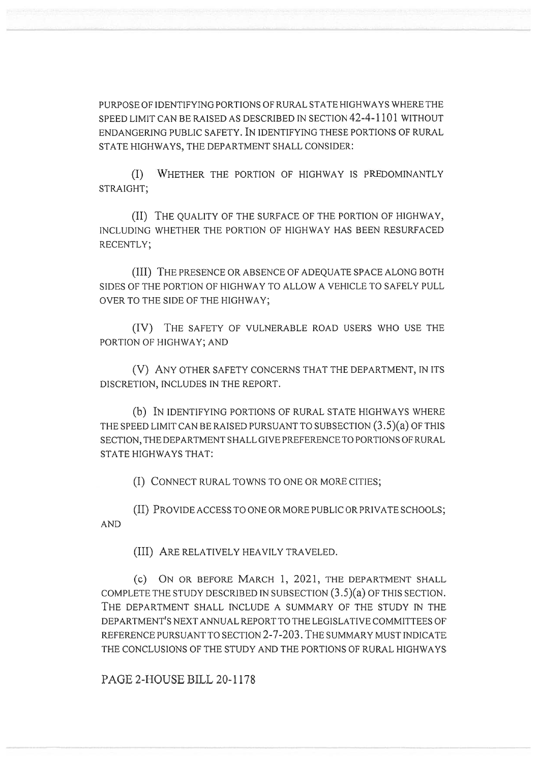PURPOSE OF IDENTIFYING PORTIONS OF RURAL STATE HIGHWAYS WHERE THE SPEED LIMIT CAN BE RAISED AS DESCRIBED IN SECTION 42-4-1101 WITHOUT ENDANGERING PUBLIC SAFETY. IN IDENTIFYING THESE PORTIONS OF RURAL STATE HIGHWAYS, THE DEPARTMENT SHALL CONSIDER: PURPOSE OF IDENTIFYING PORTIONS OF RURAL STATE HIGHWAYS WHERE THE<br>SPEED LIMIT CAN BE RAISED AS DESCRIBED IN SECTION 42-4-1101 WITHOUT<br>ENDANGERING PUBLIC SAFETY. IN IDENTIFYING THESE PORTIONS OF RURAL<br>STATE HIGHWAYS, THE DE

(I) WHETHER THE PORTION OF HIGHWAY IS PREDOMINANTLY STRAIGHT;

(II) THE QUALITY OF THE SURFACE OF THE PORTION OF HIGHWAY, INCLUDING WHETHER THE PORTION OF HIGHWAY HAS BEEN RESURFACED (II) THE THE PORTION OF WHETHER THE HIGHWAY HAS BEEN RESURFACED RECENTLY; RECENTLY;

(III) THE PRESENCE OR ABSENCE OF ADEQUATE SPACE ALONG BOTH (III) THE PRESENCE OR ABSENCE OF ADEQUATE SPACE ALONG BOTH SIDES OF THE PORTION OF HIGHWAY TO ALLOW A VEHICLE TO SAFELY PULL<br>OVER TO THE SIDE OF THE HIGHWAY; OVER TO THE SIDE OF THE HIGHWAY;

(IV) THE SAFETY OF VULNERABLE ROAD USERS WHO USE THE PORTION OF HIGHWAY; AND

(V) ANY OTHER SAFETY CONCERNS THAT THE DEPARTMENT, IN ITS DISCRETION, INCLUDES IN THE REPORT. (IV) THE SAFETY OF VULNERABLE ROAD USERS WHO USE THE<br>PORTION OF HIGHWAY; AND<br>(V) ANY OTHER SAFETY CONCERNS THAT THE DEPARTMENT, IN ITS<br>DISCRETION, INCLUDES IN THE REPORT.<br>(b) IN IDENTIFYING PORTIONS OF RURAL STATE HIGHWAYS

(b) IN IDENTIFYING PORTIONS OF RURAL STATE HIGHWAYS WHERE THE SPEED LIMIT CAN BE RAISED PURSUANT TO SUBSECTION (3.5)(a) OF THIS SECTION, THE DEPARTMENT SHALL GIVE PREFERENCE TO PORTIONS OF RURAL STATE HIGHWAYS THAT: THE SPEED LIMIT CAN BE RAISED PURSUANT TO SUBSECTION (3.5)(a) OF THIS<br>SECTION, THE DEPARTMENT SHALL GIVE PREFERENCE TO PORTIONS OF RURAL<br>STATE HIGHWAYS THAT:<br>(I) CONNECT RURAL TOWNS TO ONE OR MORE CITIES;<br>(II) PROVIDE ACCE

(I) CONNECT RURAL TOWNS TO ONE OR MORE CITIES;

(II) PROVIDE ACCESS TO ONE OR MORE PUBLIC OR PRIVATE SCHOOLS; AND

(III) ARE RELATIVELY HEAVILY TRAVELED.

(c) ON OR BEFORE MARCH 1, 2021, THE DEPARTMENT SHALL COMPLETE THE STUDY DESCRIBED IN SUBSECTION (3.5)(a) OF THIS SECTION. THE DEPARTMENT SHALL INCLUDE A SUMMARY OF THE STUDY IN THE DEPARTMENT'S NEXT ANNUAL REPORT TO THE LEGISLATIVE COMMITTEES OF REFERENCE PURSUANT TO SECTION 2-7-203. THE SUMMARY MUST INDICATE THE CONCLUSIONS OF THE STUDY AND THE PORTIONS OF RURAL HIGHWAYS (III) Are relatively heavily traveled.<br>(c) On or before March 1, 2021, the department shall<br>ete the study described in subsection (3.5)(a) of this section. DEPARTMENT'S NEXT ANNUAL REPORT TO THE LEGISLATIVE COMMITTEES OF<br>REFERENCE PURSUANT TO SECTION 2-7-203. THE SUMMARY MUST INDICATE<br>THE CONCLUSIONS OF THE STUDY AND THE PORTIONS OF RURAL HIGHWAYS<br>PAGE 2-HOUSE BILL 20-1178

PAGE 2-HOUSE BILL 20-1178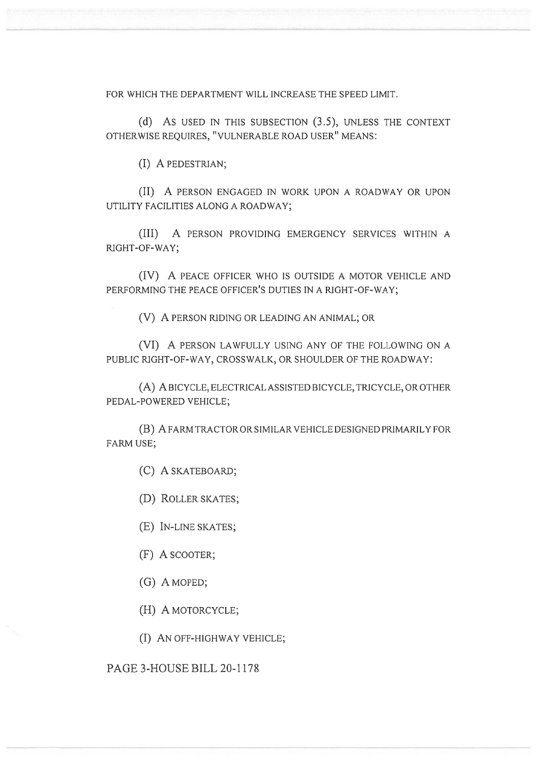FOR WHICH THE DEPARTMENT WILL INCREASE THE SPEED LIMIT.

(d) As USED IN THIS SUBSECTION (3.5), UNLESS THE CONTEXT OTHERWISE REQUIRES, "VULNERABLE ROAD USER" MEANS: FOR WHICH THE DEPARTMENT WILL INCREASE THE SPEED LIMIT.<br>(d) As used in this subsection (3.5), unless the context<br>otherwise requires, "vulnerable road user" means:

(I) A PEDESTRIAN;

(II) A PERSON ENGAGED IN WORK UPON A ROADWAY OR UPON UTILITY FACILITIES ALONG A ROADWAY; (I) A PEDESTRIAN;<br>(II) A PERSON ENGAGED IN WORK UPON A ROADWAY OR UPON<br>r facilities along a roadway;

(III) A PERSON PROVIDING EMERGENCY SERVICES WITHIN A RIGHT-OF-WAY;

(IV) A PEACE OFFICER WHO IS OUTSIDE A MOTOR VEHICLE AND PERFORMING THE PEACE OFFICER'S DUTIES IN A RIGHT-OF-WAY; (III) A PERSON PROVIDING EMERGENCY SERVICES WITHIN A<br>RIGHT-OF-WAY;<br>(IV) A PEACE OFFICER WHO IS OUTSIDE A MOTOR VEHICLE AND<br>PERFORMING THE PEACE OFFICER'S DUTIES IN A RIGHT-OF-WAY;<br>(V) A PERSON RIDING OR LEADING AN ANIMAL;

(V) A PERSON RIDING OR LEADING AN ANIMAL; OR

(VI) A PERSON LAWFULLY USING ANY OF THE FOLLOWING ON A PUBLIC RIGHT-OF-WAY, CROSSWALK, OR SHOULDER OF THE ROADWAY:

(A) A BICYCLE, ELECTRICAL ASSISTED BICYCLE, TRICYCLE, OR OTHER PEDAL-POWERED VEHICLE; PUBLIC RIGHT-OF-WAY, CROSSWALK, OR SHOULDER OF THE ROAD<br>(A) A BICYCLE, ELECTRICAL ASSISTED BICYCLE, TRICYCLE,<br>PEDAL-POWERED VEHICLE;<br>(B) A FARM TRACTOR OR SIMILAR VEHICLE DESIGNED PRIM<br>FARM USE;

(B) A FARM TRACTOR OR SIMILAR VEHICLE DESIGNED PRIMARILY FOR FARM USE;

(C) A SKATEBOARD;

(C) A SKATEBOARD;<br>(D) ROLLER SKATES;

(E) IN-LINE SKATES;

(F) A SCOOTER;

(G) A MOPED;

(H) A MOTORCYCLE;

(I) AN OFF-HIGHWAY VEHICLE; (E) In-line skates;<br>(F) A scooter;<br>(G) A moped;<br>(H) A motorcycle;<br>(I) An off-highway vehicle;

PAGE 3-HOUSE BILL 20-1178 3-HOUSE BILL 20-1178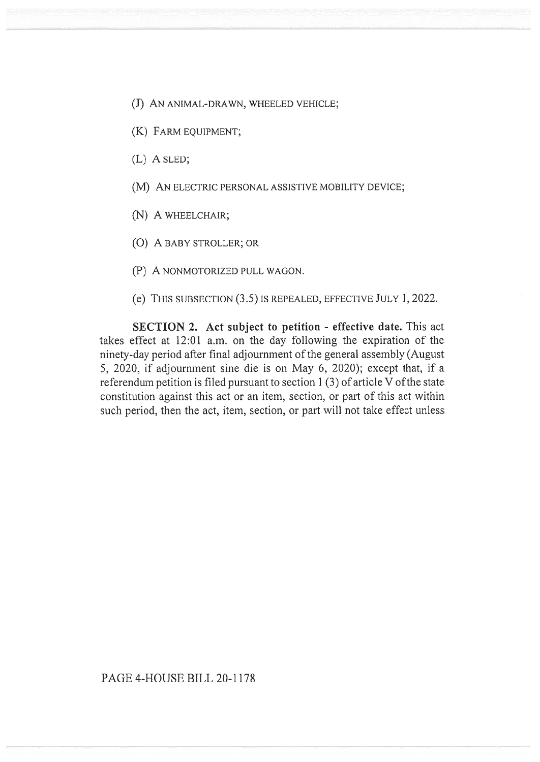- (J) An animal-drawn, wheeled vehicle;<br>(K) Farm equipment;
- (K) FARM EQUIPMENT;
- (L) A SLED;
- (M) AN ELECTRIC PERSONAL ASSISTIVE MOBILITY DEVICE;<br>(N) A WHEELCHAIR;<br>(O) A BABY STROLLER; OR
- (N) A WHEELCHAIR;
- (0) A BABY STROLLER; OR
- (P) A NONMOTORIZED PULL WAGON.
- (P) A nonmotorized pull wagon.<br>(e) This subsection (3.5) is repealed, effective July 1, 2022.

**SECTION 2.** Act subject to petition - effective date. This act takes effect at 12:01 a.m. on the day following the expiration of the ninety-day period after final adjournment of the general assembly (August 5, 2020, if adjournment sine die is on May 6, 2020); except that, if a referendum petition is filed pursuant to section 1 (3) of article V of the state constitution against this act or an item, section, or part of this act within such period, then the act, item, section, or part will not take effect unless takes effect at 12:01 a.m. on the day following the expiration of the ninety-day period after final adjournment of the general assembly (August 5, 2020, if adjournment sine die is on May 6, 2020); except that, if a refere

## PAGE 4-HOUSE BILL 20-1178 BILL 20-1178